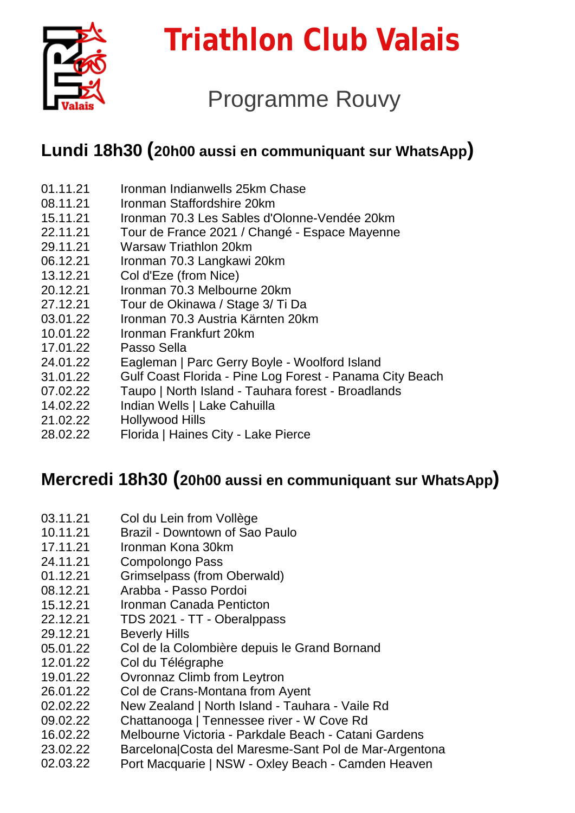

# **Triathlon Club Valais**

# Programme Rouvy

## **Lundi 18h30 (20h00 aussi en communiquant sur WhatsApp)**

- 01.11.21 [Ironman Indianwells 25km Chase](https://my.rouvy.com/virtual-routes/detail/55767)
- 08.11.21 [Ironman Staffordshire 20km](https://my.rouvy.com/virtual-routes/detail/57008)
- 15.11.21 [Ironman 70.3 Les Sables d'Olonne-Vendée 20km](https://my.rouvy.com/virtual-routes/detail/72942)
- 22.11.21 [Tour de France 2021 / Changé -](https://my.rouvy.com/virtual-routes/detail/75953) Espace Mayenne
- 29.11.21 [Warsaw Triathlon 20km](https://my.rouvy.com/virtual-routes/detail/51448)
- 06.12.21 [Ironman 70.3 Langkawi 20km](https://my.rouvy.com/virtual-routes/detail/69758)
- 13.12.21 [Col d'Eze \(from Nice\)](https://my.rouvy.com/virtual-routes/detail/37344)
- 20.12.21 [Ironman 70.3 Melbourne 20km](https://my.rouvy.com/virtual-routes/detail/64147)
- 27.12.21 [Tour de Okinawa / Stage 3/ Ti Da](https://my.rouvy.com/virtual-routes/detail/64515)
- 03.01.22 [Ironman 70.3 Austria Kärnten 20km](https://my.rouvy.com/virtual-routes/detail/57611)
- 10.01.22 [Ironman Frankfurt 20km](https://my.rouvy.com/virtual-routes/detail/70139)
- 17.01.22 [Passo Sella](https://my.rouvy.com/virtual-routes/detail/27013)
- 24.01.22 [Eagleman | Parc Gerry Boyle -](https://my.rouvy.com/virtual-routes/detail/50915) Woolford Island
- 31.01.22 Gulf Coast Florida - Pine Log Forest - [Panama City Beach](https://my.rouvy.com/virtual-routes/detail/69088)
- 07.02.22 [Taupo | North Island -](https://my.rouvy.com/virtual-routes/detail/71547) Tauhara forest - Broadlands
- 14.02.22 [Indian Wells | Lake Cahuilla](https://my.rouvy.com/virtual-routes/detail/48009)
- 21.02.22 [Hollywood Hills](https://my.rouvy.com/virtual-routes/detail/74483)
- 28.02.22 [Florida | Haines City -](https://my.rouvy.com/virtual-routes/detail/64511) Lake Pierce

#### **Mercredi 18h30 (20h00 aussi en communiquant sur WhatsApp)**

- 03.11.21 [Col du Lein from Vollège](https://my.rouvy.com/virtual-routes/detail/60770)
- 10.11.21 Brazil - [Downtown of Sao Paulo](https://my.rouvy.com/virtual-routes/detail/76594)
- 17.11.21 [Ironman Kona 30km](https://my.rouvy.com/virtual-routes/detail/56547)
- 24.11.21 [Compolongo Pass](https://my.rouvy.com/virtual-routes/detail/37342)
- 01.12.21 [Grimselpass \(from Oberwald\)](https://my.rouvy.com/virtual-routes/detail/76630)
- 08.12.21 Arabba - [Passo Pordoi](https://my.rouvy.com/virtual-routes/detail/27788)
- 15.12.21 [Ironman Canada Penticton](https://my.rouvy.com/virtual-routes/detail/74961)
- 22.12.21 TDS 2021 - TT - [Oberalppass](https://my.rouvy.com/virtual-routes/detail/37418)
- 29.12.21 [Beverly Hills](https://my.rouvy.com/virtual-routes/detail/74488)
- 05.01.22 [Col de la Colombière depuis le Grand Bornand](https://my.rouvy.com/virtual-routes/detail/67945)
- 12.01.22 [Col du Télégraphe](https://my.rouvy.com/virtual-routes/detail/6323)
- 19.01.22 [Ovronnaz Climb from Leytron](https://my.rouvy.com/virtual-routes/detail/60771)
- 26.01.22 [Col de Crans-Montana from Ayent](https://my.rouvy.com/virtual-routes/detail/60849)
- 02.02.22 [New Zealand | North Island -](https://my.rouvy.com/virtual-routes/detail/54546) Tauhara - Vaile Rd
- 09.02.22 [Chattanooga | Tennessee river -](https://my.rouvy.com/virtual-routes/detail/53209) W Cove Rd
- 16.02.22 [Melbourne Victoria -](https://my.rouvy.com/virtual-routes/detail/69678) Parkdale Beach - Catani Gardens
- 23.02.22 [Barcelona|Costa del Maresme-Sant Pol de Mar-Argentona](https://my.rouvy.com/virtual-routes/detail/71453)
- 02.03.22 [Port Macquarie | NSW -](https://my.rouvy.com/virtual-routes/detail/51842) Oxley Beach - Camden Heaven